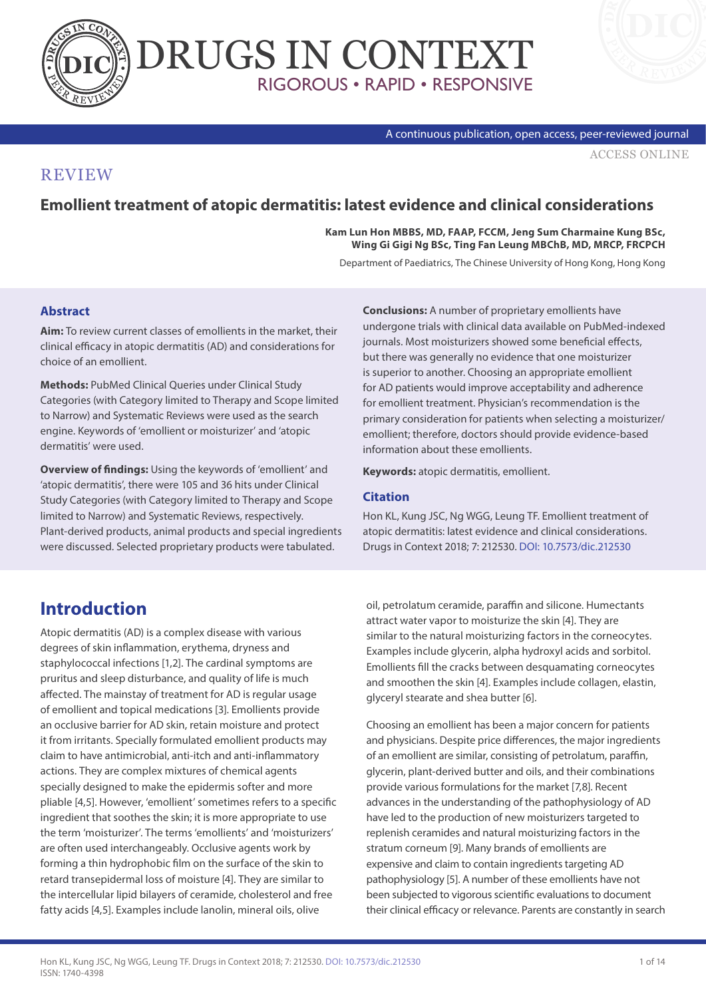



#### A continuous publication, open access, peer-reviewed journal

[ACCESS ONLINE](http://www.drugsincontext.com/emollient-treatment-of-atopic-dermatitis-latest-evidence-and-clinical-considerations)

#### **REVIEW**

#### **Emollient treatment of atopic dermatitis: latest evidence and clinical considerations**

**Kam Lun Hon MBBS, MD, FAAP, FCCM, Jeng Sum Charmaine Kung BSc, Wing Gi Gigi Ng BSc, Ting Fan Leung MBChB, MD, MRCP, FRCPCH**

Department of Paediatrics, The Chinese University of Hong Kong, Hong Kong

#### **Abstract**

**Aim:** To review current classes of emollients in the market, their clinical efficacy in atopic dermatitis (AD) and considerations for choice of an emollient.

**Methods:** PubMed Clinical Queries under Clinical Study Categories (with Category limited to Therapy and Scope limited to Narrow) and Systematic Reviews were used as the search engine. Keywords of 'emollient or moisturizer' and 'atopic dermatitis' were used.

**Overview of findings:** Using the keywords of 'emollient' and 'atopic dermatitis', there were 105 and 36 hits under Clinical Study Categories (with Category limited to Therapy and Scope limited to Narrow) and Systematic Reviews, respectively. Plant-derived products, animal products and special ingredients were discussed. Selected proprietary products were tabulated.

**Conclusions:** A number of proprietary emollients have undergone trials with clinical data available on PubMed-indexed journals. Most moisturizers showed some beneficial effects, but there was generally no evidence that one moisturizer is superior to another. Choosing an appropriate emollient for AD patients would improve acceptability and adherence for emollient treatment. Physician's recommendation is the primary consideration for patients when selecting a moisturizer/ emollient; therefore, doctors should provide evidence-based information about these emollients.

**Keywords:** atopic dermatitis, emollient.

#### **Citation**

Hon KL, Kung JSC, Ng WGG, Leung TF. Emollient treatment of atopic dermatitis: latest evidence and clinical considerations. Drugs in Context 2018; 7: 212530. [DOI: 10.7573/dic.212530](https://doi.org/10.7573/dic.212530)

## **Introduction**

Atopic dermatitis (AD) is a complex disease with various degrees of skin inflammation, erythema, dryness and staphylococcal infections [1,2]. The cardinal symptoms are pruritus and sleep disturbance, and quality of life is much affected. The mainstay of treatment for AD is regular usage of emollient and topical medications [3]. Emollients provide an occlusive barrier for AD skin, retain moisture and protect it from irritants. Specially formulated emollient products may claim to have antimicrobial, anti-itch and anti-inflammatory actions. They are complex mixtures of chemical agents specially designed to make the epidermis softer and more pliable [4,5]. However, 'emollient' sometimes refers to a specific ingredient that soothes the skin; it is more appropriate to use the term 'moisturizer'. The terms 'emollients' and 'moisturizers' are often used interchangeably. Occlusive agents work by forming a thin hydrophobic film on the surface of the skin to retard transepidermal loss of moisture [4]. They are similar to the intercellular lipid bilayers of ceramide, cholesterol and free fatty acids [4,5]. Examples include lanolin, mineral oils, olive

oil, petrolatum ceramide, paraffin and silicone. Humectants attract water vapor to moisturize the skin [4]. They are similar to the natural moisturizing factors in the corneocytes. Examples include glycerin, alpha hydroxyl acids and sorbitol. Emollients fill the cracks between desquamating corneocytes and smoothen the skin [4]. Examples include collagen, elastin, glyceryl stearate and shea butter [6].

Choosing an emollient has been a major concern for patients and physicians. Despite price differences, the major ingredients of an emollient are similar, consisting of petrolatum, paraffin, glycerin, plant-derived butter and oils, and their combinations provide various formulations for the market [7,8]. Recent advances in the understanding of the pathophysiology of AD have led to the production of new moisturizers targeted to replenish ceramides and natural moisturizing factors in the stratum corneum [9]. Many brands of emollients are expensive and claim to contain ingredients targeting AD pathophysiology [5]. A number of these emollients have not been subjected to vigorous scientific evaluations to document their clinical efficacy or relevance. Parents are constantly in search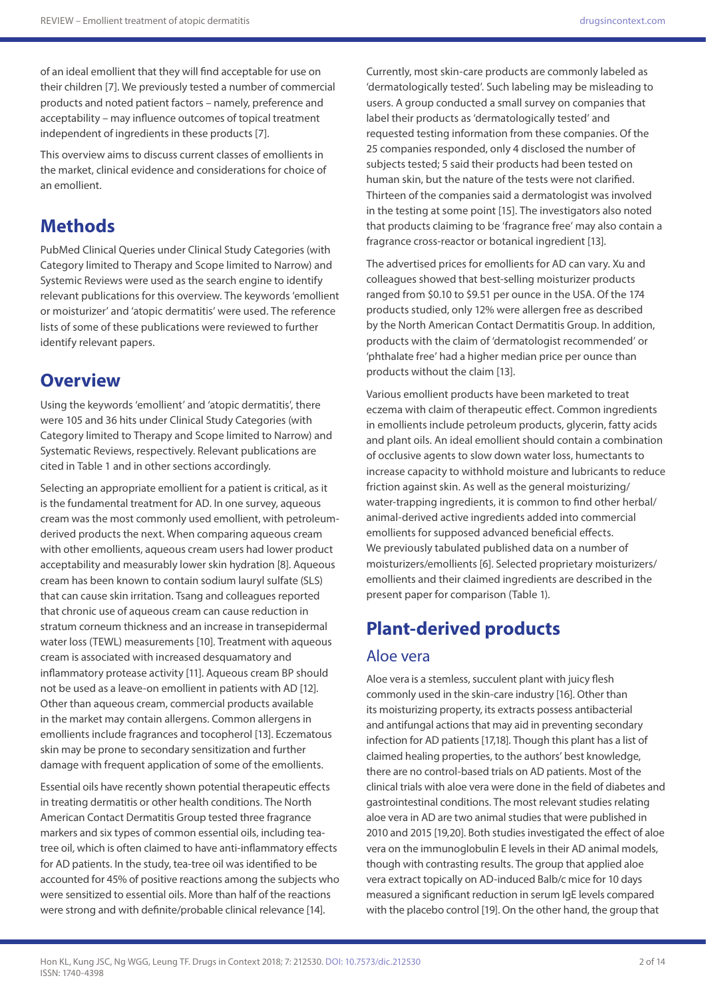of an ideal emollient that they will find acceptable for use on their children [7]. We previously tested a number of commercial products and noted patient factors – namely, preference and acceptability – may influence outcomes of topical treatment independent of ingredients in these products [7].

This overview aims to discuss current classes of emollients in the market, clinical evidence and considerations for choice of an emollient.

# **Methods**

PubMed Clinical Queries under Clinical Study Categories (with Category limited to Therapy and Scope limited to Narrow) and Systemic Reviews were used as the search engine to identify relevant publications for this overview. The keywords 'emollient or moisturizer' and 'atopic dermatitis' were used. The reference lists of some of these publications were reviewed to further identify relevant papers.

## **Overview**

Using the keywords 'emollient' and 'atopic dermatitis', there were 105 and 36 hits under Clinical Study Categories (with Category limited to Therapy and Scope limited to Narrow) and Systematic Reviews, respectively. Relevant publications are cited in Table 1 and in other sections accordingly.

Selecting an appropriate emollient for a patient is critical, as it is the fundamental treatment for AD. In one survey, aqueous cream was the most commonly used emollient, with petroleumderived products the next. When comparing aqueous cream with other emollients, aqueous cream users had lower product acceptability and measurably lower skin hydration [8]. Aqueous cream has been known to contain sodium lauryl sulfate (SLS) that can cause skin irritation. Tsang and colleagues reported that chronic use of aqueous cream can cause reduction in stratum corneum thickness and an increase in transepidermal water loss (TEWL) measurements [10]. Treatment with aqueous cream is associated with increased desquamatory and inflammatory protease activity [11]. Aqueous cream BP should not be used as a leave-on emollient in patients with AD [12]. Other than aqueous cream, commercial products available in the market may contain allergens. Common allergens in emollients include fragrances and tocopherol [13]. Eczematous skin may be prone to secondary sensitization and further damage with frequent application of some of the emollients.

Essential oils have recently shown potential therapeutic effects in treating dermatitis or other health conditions. The North American Contact Dermatitis Group tested three fragrance markers and six types of common essential oils, including teatree oil, which is often claimed to have anti-inflammatory effects for AD patients. In the study, tea-tree oil was identified to be accounted for 45% of positive reactions among the subjects who were sensitized to essential oils. More than half of the reactions were strong and with definite/probable clinical relevance [14].

Currently, most skin-care products are commonly labeled as 'dermatologically tested'. Such labeling may be misleading to users. A group conducted a small survey on companies that label their products as 'dermatologically tested' and requested testing information from these companies. Of the 25 companies responded, only 4 disclosed the number of subjects tested; 5 said their products had been tested on human skin, but the nature of the tests were not clarified. Thirteen of the companies said a dermatologist was involved in the testing at some point [15]. The investigators also noted that products claiming to be 'fragrance free' may also contain a fragrance cross-reactor or botanical ingredient [13].

The advertised prices for emollients for AD can vary. Xu and colleagues showed that best-selling moisturizer products ranged from \$0.10 to \$9.51 per ounce in the USA. Of the 174 products studied, only 12% were allergen free as described by the North American Contact Dermatitis Group. In addition, products with the claim of 'dermatologist recommended' or 'phthalate free' had a higher median price per ounce than products without the claim [13].

Various emollient products have been marketed to treat eczema with claim of therapeutic effect. Common ingredients in emollients include petroleum products, glycerin, fatty acids and plant oils. An ideal emollient should contain a combination of occlusive agents to slow down water loss, humectants to increase capacity to withhold moisture and lubricants to reduce friction against skin. As well as the general moisturizing/ water-trapping ingredients, it is common to find other herbal/ animal-derived active ingredients added into commercial emollients for supposed advanced beneficial effects. We previously tabulated published data on a number of moisturizers/emollients [6]. Selected proprietary moisturizers/ emollients and their claimed ingredients are described in the present paper for comparison (Table 1).

# **Plant-derived products**

#### Aloe vera

Aloe vera is a stemless, succulent plant with juicy flesh commonly used in the skin-care industry [16]. Other than its moisturizing property, its extracts possess antibacterial and antifungal actions that may aid in preventing secondary infection for AD patients [17,18]. Though this plant has a list of claimed healing properties, to the authors' best knowledge, there are no control-based trials on AD patients. Most of the clinical trials with aloe vera were done in the field of diabetes and gastrointestinal conditions. The most relevant studies relating aloe vera in AD are two animal studies that were published in 2010 and 2015 [19,20]. Both studies investigated the effect of aloe vera on the immunoglobulin E levels in their AD animal models, though with contrasting results. The group that applied aloe vera extract topically on AD-induced Balb/c mice for 10 days measured a significant reduction in serum IgE levels compared with the placebo control [19]. On the other hand, the group that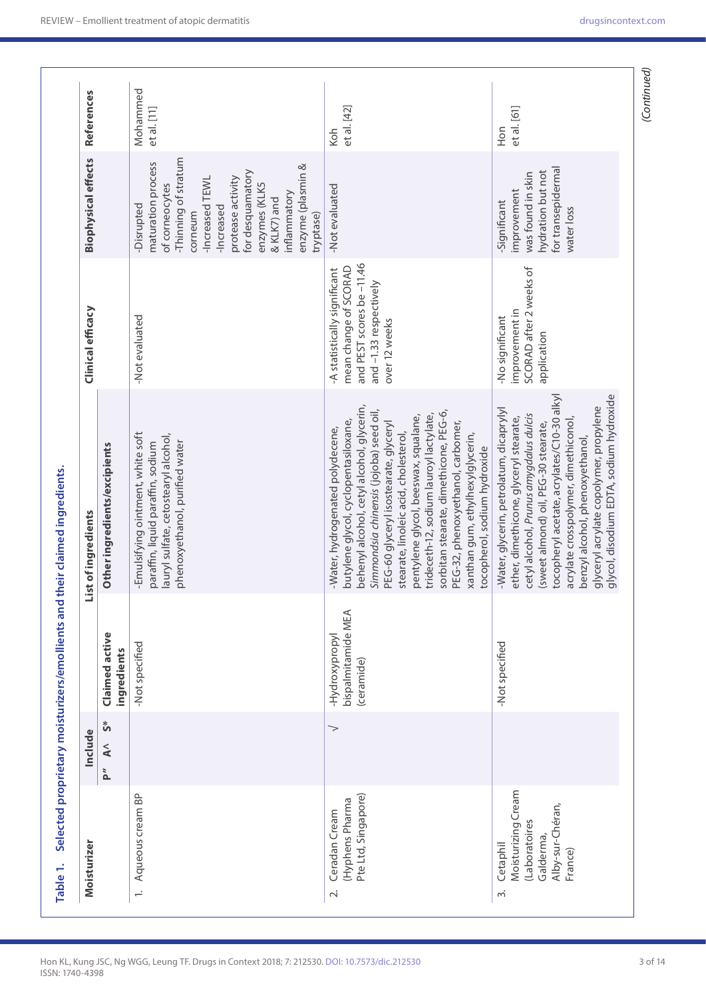| Moisturizer                                                                                 | Include                               |                                                    | List of ingredients                                                                                                                                                                                                                                                                                                                                                                                                                                                                      | Clinical efficacy                                                                                                            | <b>Biophysical effects</b>                                                                                                                                                                                                                        | References              |
|---------------------------------------------------------------------------------------------|---------------------------------------|----------------------------------------------------|------------------------------------------------------------------------------------------------------------------------------------------------------------------------------------------------------------------------------------------------------------------------------------------------------------------------------------------------------------------------------------------------------------------------------------------------------------------------------------------|------------------------------------------------------------------------------------------------------------------------------|---------------------------------------------------------------------------------------------------------------------------------------------------------------------------------------------------------------------------------------------------|-------------------------|
|                                                                                             | ້ ຈ<br>$\tilde{\blacktriangle}$<br>p" | Claimed active<br>ingredients                      | Other ingredients/excipients                                                                                                                                                                                                                                                                                                                                                                                                                                                             |                                                                                                                              |                                                                                                                                                                                                                                                   |                         |
| Aqueous cream BP<br>$\div$                                                                  |                                       | -Not specified                                     | -Emulsifying ointment, white soft<br>lauryl sulfate, cetostearyl alcohol,<br>phenoxyethanol, purified water<br>paraffin, liquid paraffin, sodium                                                                                                                                                                                                                                                                                                                                         | -Not evaluated                                                                                                               | -Thinning of stratum<br>maturation process<br>enzyme (plasmin &<br>for desquamatory<br>protease activity<br>-Increased TEWL<br>enzymes (KLK5<br>of corneocytes<br>inflammatory<br>& KLK7) and<br>-Disrupted<br>-Increased<br>corneum<br>tryptase) | Mohammed<br>et al. [11] |
| Pte Ltd, Singapore)<br>(Hyphens Pharma<br>Ceradan Cream<br>$\overline{\sim}$                | $\gt$                                 | bispalmitamide MEA<br>-Hydroxypropyl<br>(ceramide) | behenyl alcohol, cetyl alcohol, glycerin,<br>Simmondsia chinensis (jojoba) seed oil,<br>sorbitan stearate, dimethicone, PEG-6,<br>trideceth-12, sodium lauroyl lactylate,<br>pentylene glycol, beeswax, squalane,<br>butylene glycol, cyclopentasiloxane,<br>PEG-60 glyceryl isostearate, glyceryl<br>PEG-32, phenoxyethanol, carbomer,<br>-Water, hydrogenated polydecene,<br>xanthan gum, ethylhexylglycerin,<br>stearate, linoleic acid, cholesterol,<br>tocopherol, sodium hydroxide | and PEST scores be-11.46<br>mean change of SCORAD<br>-A statistically significant<br>and -1.33 respectively<br>over 12 weeks | -Not evaluated                                                                                                                                                                                                                                    | et al. [42]<br>Koh      |
| Moisturizing Cream<br>Alby-sur-Chéran,<br>(Laboratoires<br>Galderma,<br>Cetaphil<br>France) |                                       | -Not specified                                     | tocopheryl acetate, acrylates/C10-30 alkyl<br>glycol, disodium EDTA, sodium hydroxide<br>glyceryl acrylate copolymer, propylene<br>-Water, glycerin, petrolatum, dicaprylyl<br>cetyl alcohol, Prunus amygdalus dulcis<br>ether, dimethicone, glyceryl stearate,<br>acrylate crosspolymer, dimethiconol,<br>(sweet almond) oil, PEG-30 stearate,<br>benzyl alcohol, phenoxyethanol,                                                                                                       | SCORAD after 2 weeks of<br>improvement in<br>-No significant<br>application                                                  | for transepidermal<br>hydration but not<br>was found in skin<br>improvement<br>-Significant<br>water loss                                                                                                                                         | et al. [61]<br>Hon      |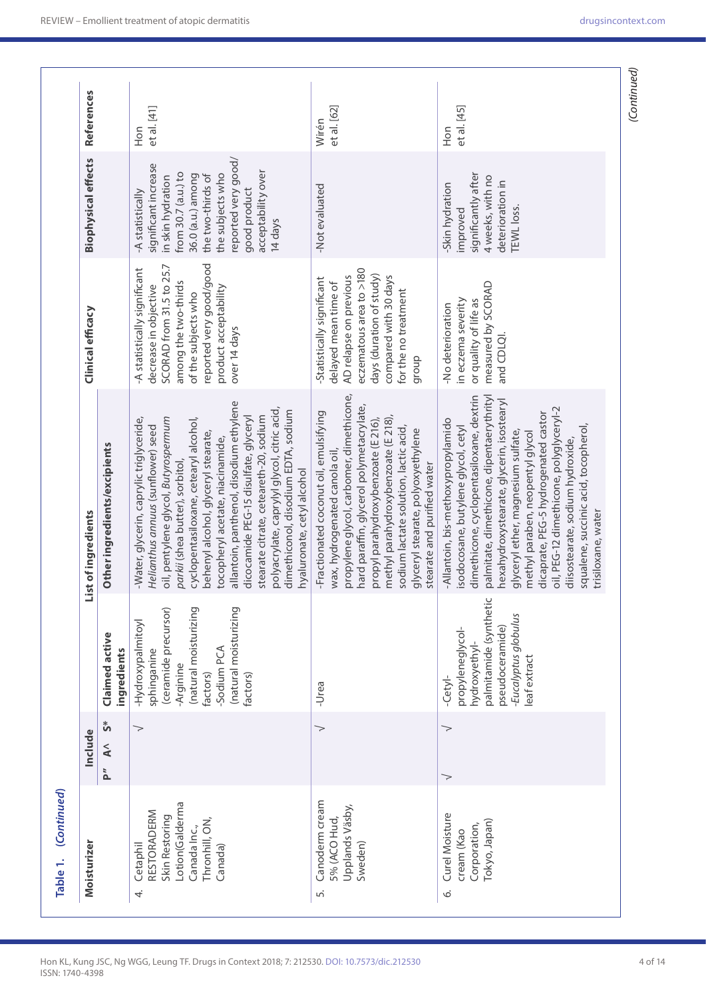| References                 |                                  | et al. [41]<br>Hon                                                                                                                                                                                                                                                                                                                                                                                                                                                                                                              | et al. [62]<br>Wirén                                                                                                                                                                                                                                                                                                                                       | et al. [45]<br>Hon                                                                                                                                                                                                                                                                                                                                                                                                                                                             |
|----------------------------|----------------------------------|---------------------------------------------------------------------------------------------------------------------------------------------------------------------------------------------------------------------------------------------------------------------------------------------------------------------------------------------------------------------------------------------------------------------------------------------------------------------------------------------------------------------------------|------------------------------------------------------------------------------------------------------------------------------------------------------------------------------------------------------------------------------------------------------------------------------------------------------------------------------------------------------------|--------------------------------------------------------------------------------------------------------------------------------------------------------------------------------------------------------------------------------------------------------------------------------------------------------------------------------------------------------------------------------------------------------------------------------------------------------------------------------|
| <b>Biophysical effects</b> |                                  | reported very good/<br>significant increase<br>acceptability over<br>from 30.7 (a.u.) to<br>the subjects who<br>36.0 (a.u.) among<br>the two-thirds of<br>in skin hydration<br>good product<br>-A statistically<br>14 days                                                                                                                                                                                                                                                                                                      | -Not evaluated                                                                                                                                                                                                                                                                                                                                             | significantly after<br>4 weeks, with no<br>deterioration in<br>Skin hydration<br>TEWL loss.<br>improved                                                                                                                                                                                                                                                                                                                                                                        |
| Clinical efficacy          |                                  | reported very good/good<br>SCORAD from 31.5 to 25.7<br>-A statistically significant<br>among the two-thirds<br>decrease in objective<br>product acceptability<br>of the subjects who<br>over 14 days                                                                                                                                                                                                                                                                                                                            | eczematous area to >180<br>days (duration of study)<br>AD relapse on previous<br>compared with 30 days<br>Statistically significant<br>delayed mean time of<br>for the no treatment<br>dronb                                                                                                                                                               | measured by SCORAD<br>in eczema severity<br>or quality of life as<br>-No deterioration<br>and CDLQI.                                                                                                                                                                                                                                                                                                                                                                           |
| List of ingredients        | Other ingredients/excipients     | allantoin, panthenol, disodium ethylene<br>polyacrylate, caprylyl glycol, citric acid,<br>dimethiconol, disodium EDTA, sodium<br>dicocamide PEG-15 disulfate, glyceryl<br>stearate citrate, ceteareth-20, sodium<br>oil, pentylene glycol, Butyrospermum<br>cyclopentasiloxane, cetearyl alcohol,<br>-Water, glycerin, caprylic triglyceride,<br>Helianthus annuus (sunflower) seed<br>behenyl alcohol, glyceryl stearate,<br>tocopheryl acetate, niacinamide,<br>parkii (shea butter), sorbitol,<br>hyaluronate, cetyl alcohol | propylene glycol, carbomer, dimethicone,<br>hard paraffin, glycerol polymetacrylate,<br>-Fractionated coconut oil, emulsifying<br>methyl parahydroxybenzoate (E 218),<br>propyl parahydroxybenzoate (E 216),<br>sodium lactate solution, lactic acid,<br>glyceryl stearate, polyoxyethylene<br>wax, hydrogenated canola oil<br>stearate and purified water | dimethicone, cyclopentasiloxane, dextrin<br>palmitate, dimethicone, dipentaerythrityl<br>hexahydroxystearate, glycerin, isostearyl<br>oil, PEG-12 dimethicone, polyglyceryl-2<br>dicaprate, PEG-5 hydrogenated castor<br>-Allantoin, bis-methoxypropylamido<br>squalene, succinic acid, tocopherol,<br>isodocosane, butylene glycol, cetyl<br>glyceryl ether, magnesium sulfate,<br>methyl paraben, neopentyl glycol<br>diisostearate, sodium hydroxide,<br>trisiloxane, water |
|                            | Claimed active<br>ingredients    | (ceramide precursor)<br>(natural moisturizing<br>(natural moisturizing<br>-Hydroxypalmitoyl<br>Sodium PCA<br>sphinganine<br>-Arginine<br>factors)<br>factors)                                                                                                                                                                                                                                                                                                                                                                   | -Urea                                                                                                                                                                                                                                                                                                                                                      | U<br>palmitamide (syntheti<br>-Eucalyptus globulus<br>propyleneglycol-<br>pseudoceramide)<br>hydroxyethyl-<br>leaf extract<br>$-$ Cety $-$                                                                                                                                                                                                                                                                                                                                     |
| Include                    | ້ຳ<br>$\tilde{\mathbf{A}}$<br>p" | >                                                                                                                                                                                                                                                                                                                                                                                                                                                                                                                               | $\gt$                                                                                                                                                                                                                                                                                                                                                      | $\gt$<br>>                                                                                                                                                                                                                                                                                                                                                                                                                                                                     |
| Moisturizer                |                                  | Lotion(Galderma<br>RESTORADERM<br>Skin Restoring<br>Thronhill, ON,<br>Canada Inc.,<br>Cetaphil<br>Canada)<br>4                                                                                                                                                                                                                                                                                                                                                                                                                  | Canoderm cream<br>Upplands Väsby,<br>5% (ACO Hud,<br>Sweden)<br>ட்                                                                                                                                                                                                                                                                                         | Curel Moisture<br>Tokyo, Japan)<br>Corporation,<br>cream (Kao<br>Ó                                                                                                                                                                                                                                                                                                                                                                                                             |

ISSN: 1740-4398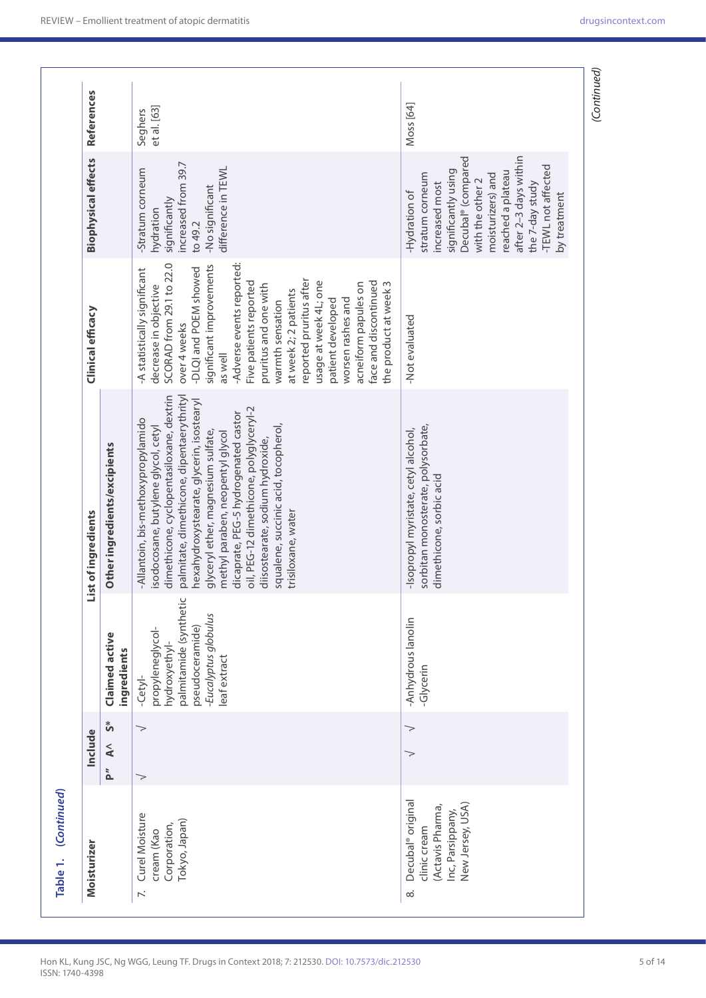| (Continued)<br>Table 1.                                                                                               |                                 |                                                                                                                                       |                                                                                                                                                                                                                                                                                                                                                                                                                                                                                |                                                                                                                                                                                                                                                                                                                                                                                                                                                                        |                                                                                                                                                                                                                                                             |                        |
|-----------------------------------------------------------------------------------------------------------------------|---------------------------------|---------------------------------------------------------------------------------------------------------------------------------------|--------------------------------------------------------------------------------------------------------------------------------------------------------------------------------------------------------------------------------------------------------------------------------------------------------------------------------------------------------------------------------------------------------------------------------------------------------------------------------|------------------------------------------------------------------------------------------------------------------------------------------------------------------------------------------------------------------------------------------------------------------------------------------------------------------------------------------------------------------------------------------------------------------------------------------------------------------------|-------------------------------------------------------------------------------------------------------------------------------------------------------------------------------------------------------------------------------------------------------------|------------------------|
| Moisturizer                                                                                                           | Include                         |                                                                                                                                       | List of ingredients                                                                                                                                                                                                                                                                                                                                                                                                                                                            | Clinical efficacy                                                                                                                                                                                                                                                                                                                                                                                                                                                      | <b>Biophysical effects</b>                                                                                                                                                                                                                                  | References             |
|                                                                                                                       | $\mathbf{S}^*$<br>$\leq$<br>p." | Claimed active<br>ingredients                                                                                                         | Other ingredients/excipients                                                                                                                                                                                                                                                                                                                                                                                                                                                   |                                                                                                                                                                                                                                                                                                                                                                                                                                                                        |                                                                                                                                                                                                                                                             |                        |
| Curel Moisture<br>Tokyo, Japan)<br>Corporation,<br>cream (Kao<br>$\ddot{\sim}$                                        | $\gt$<br>$\gt$                  | palmitamide (synthetion<br>Eucalyptus globulus<br>pseudoceramide)<br>propyleneglycol-<br>hydroxyethyl-<br>eaf extract<br>$-$ Cety $-$ | dimethicone, cyclopentasiloxane, dextrin<br>palmitate, dimethicone, dipentaerythrityl<br>nexahydroxystearate, glycerin, isostearyl<br>oil, PEG-12 dimethicone, polyglyceryl-2<br>dicaprate, PEG-5 hydrogenated castor<br>-Allantoin, bis-methoxypropylamido<br>isodocosane, butylene glycol, cetyl<br>squalene, succinic acid, tocopherol,<br>glyceryl ether, magnesium sulfate,<br>methyl paraben, neopentyl glycol<br>diisostearate, sodium hydroxide,<br>trisiloxane, water | -Adverse events reported:<br>SCORAD from 29.1 to 22.0<br>significant improvements<br>-DLQI and POEM showed<br>-A statistically significant<br>reported pruritus after<br>face and discontinued<br>usage at week 4L; one<br>Five patients reported<br>the product at week 3<br>acneiform papules on<br>pruritus and one with<br>decrease in objective<br>at week 2; 2 patients<br>worsen rashes and<br>patient developed<br>warmth sensation<br>over 4 weeks<br>as well | increased from 39.7<br>difference in TEWL<br>Stratum corneum<br>No significant<br>significantly<br>hydration<br>to 49.2                                                                                                                                     | et al. [63]<br>Seghers |
| Decubal <sup>®</sup> original<br>New Jersey, USA)<br>(Actavis Pharma,<br>Inc, Parsippany,<br>clinic cream<br>$\infty$ |                                 | -Anhydrous lanolin<br>Glycerin                                                                                                        | sorbitan monosterate, polysorbate,<br>-Isopropyl myristate, cetyl alcohol,<br>dimethicone, sorbic acid                                                                                                                                                                                                                                                                                                                                                                         | -Not evaluated                                                                                                                                                                                                                                                                                                                                                                                                                                                         | Decubal <sup>®</sup> (compared<br>after 2-3 days within<br>-TEWL not affected<br>significantly using<br>reached a plateau<br>stratum corneum<br>moisturizers) and<br>with the other 2<br>increased most<br>the 7-day study<br>-Hydration of<br>by treatment | Moss [64]              |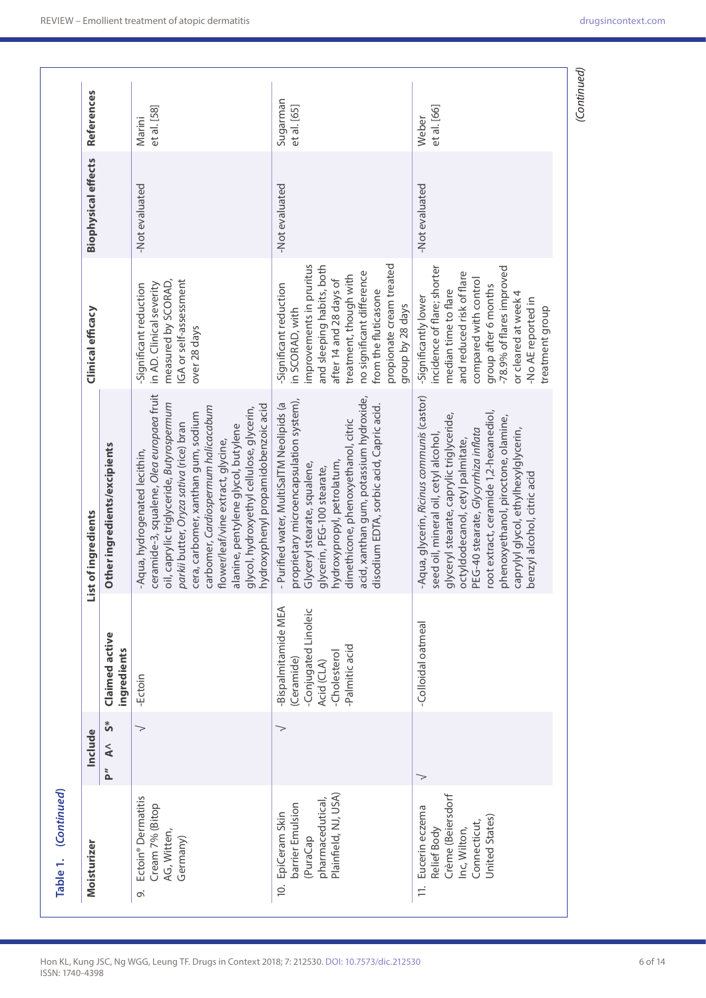| Moisturizer                                                                                                           | Include            |                                                                                                        | ist of ingredients                                                                                                                                                                                                                                                                                                                                                                                               | Clinical efficacy                                                                                                                                                                                                                                           | <b>Biophysical effects</b> | References              |
|-----------------------------------------------------------------------------------------------------------------------|--------------------|--------------------------------------------------------------------------------------------------------|------------------------------------------------------------------------------------------------------------------------------------------------------------------------------------------------------------------------------------------------------------------------------------------------------------------------------------------------------------------------------------------------------------------|-------------------------------------------------------------------------------------------------------------------------------------------------------------------------------------------------------------------------------------------------------------|----------------------------|-------------------------|
|                                                                                                                       | \$<br>$\leq$<br>P" | Claimed active<br>ngredients                                                                           | Other ingredients/excipients                                                                                                                                                                                                                                                                                                                                                                                     |                                                                                                                                                                                                                                                             |                            |                         |
| Ectoin <sup>®</sup> Dermatitis<br>Cream 7% (Bitop<br>AG, Witten,<br>Germany)<br>Ö                                     | $\gt$              | -Ectoin                                                                                                | ceramide-3, squalene, Olea europaea fruit<br>oil, caprylic triglyceride, Butyrospermum<br>hydroxyphenyl propamidobenzoic acid<br>carbomer, Cardiospermum halicacabum<br>glycol, hydroxyethyl cellulose, glycerin,<br>cera, carbomer, xanthan gum, sodium<br>parkii butter, Oryza sativa (rice) bran<br>alanine, pentylene glycol, butylene<br>flower/leaf/vine extract, glycine,<br>Aqua, hydrogenated lecithin, | IGA or self-assessment<br>measured by SCORAD,<br>in AD. Clinical severity<br>-Significant reduction<br>over 28 days                                                                                                                                         | -Not evaluated             | et al. [58]<br>Marini   |
| Plainfield, NJ, USA)<br>pharmacedutical,<br>barrier Emulsion<br>EpiCeram Skin<br>(PuraCap<br>$\dot{\Xi}$              | >                  | Bispalmitamide MEA<br>Conjugated Linoleic<br>Palmitic acid<br>-Cholesterol<br>(Ceramide)<br>Acid (CLA) | acid, xanthan gum, potassium hydroxide,<br>proprietary microencapsulation system),<br>- Purified water, MultiSalTM Neolipids (a<br>disodium EDTA, sorbic acid, Capric acid.<br>dimethicone, phenoxyethanol, citric<br>hydroxypropyl, petrolatum,<br>Glyceryl stearate, squalene,<br>glycerin, PEG-100 stearate,                                                                                                  | propionate cream treated<br>improvements in pruritus<br>and sleeping habits, both<br>no significant difference<br>treatment, though with<br>after 14 and 28 days of<br>Significant reduction<br>from the fluticasone<br>group by 28 days<br>in SCORAD, with | -Not evaluated             | Sugarman<br>et al. [65] |
| Crème (Beiersdorf<br>Eucerin eczema<br>United States)<br>Connecticut,<br>Relief Body<br>Inc, Wilton,<br>$\frac{1}{2}$ |                    | -Colloidal oatmeal                                                                                     | -Aqua, glycerin, Ricinus communis (castor)<br>root extract, ceramide 1,2-hexanediol,<br>glyceryl stearate, caprylic triglyceride,<br>phenoxyethanol, piroctone, olamine,<br>caprylyl glycol, ethylhexylglycerin,<br>PEG-40 stearate, Glycyrrhiza inflata<br>seed oil, mineral oil, cetyl alcohol,<br>octyldodecanol, cetyl palmitate,<br>benzyl alcohol, citric acid                                             | incidence of flare; shorter<br>-78.9% of flares improved<br>and reduced risk of flare<br>compared with control<br>group after 6 months<br>median time to flare<br>or cleared at week 4<br>-Significantly lower<br>-No AE reported in<br>treatment group     | -Not evaluated             | et al. [66]<br>Weber    |

ISSN: 1740-4398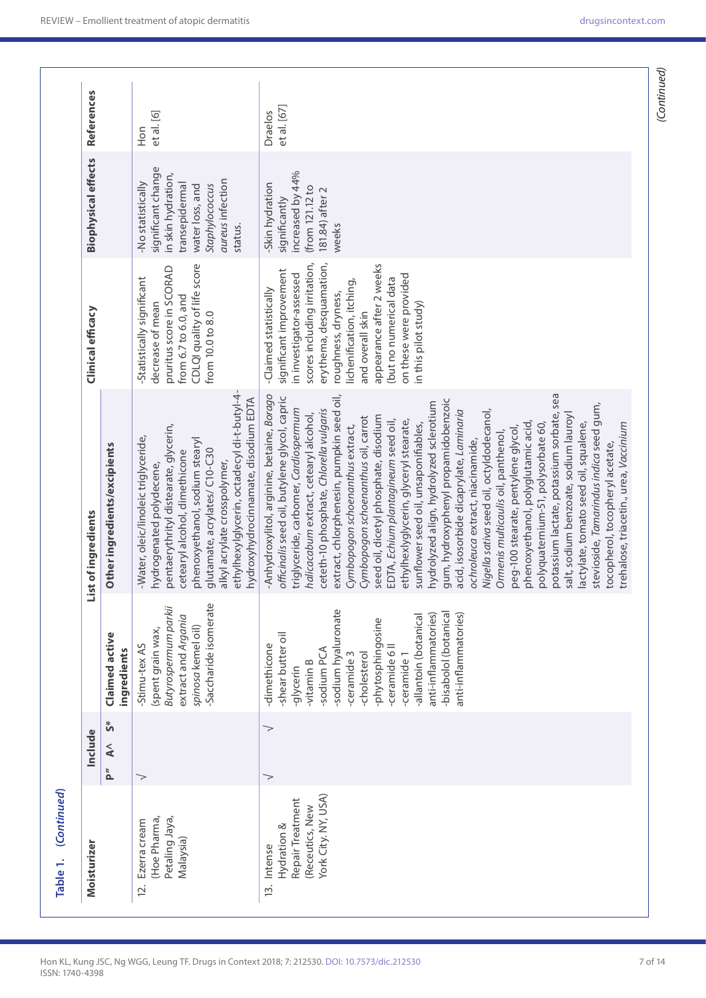| Moisturizer                                                                              | Include             |                                                                                                                                                                                                                                                                                           | List of ingredients                                                                                                                                                                                                                                                                                                                                                                                                                                                                                                                                                                                                                                                                                                                                                                                                                                                                                                                                                                                                                                                                                                                              | Clinical efficacy                                                                                                                                                                                                                                                                                                        | <b>Biophysical effects</b>                                                                                                                          | References             |
|------------------------------------------------------------------------------------------|---------------------|-------------------------------------------------------------------------------------------------------------------------------------------------------------------------------------------------------------------------------------------------------------------------------------------|--------------------------------------------------------------------------------------------------------------------------------------------------------------------------------------------------------------------------------------------------------------------------------------------------------------------------------------------------------------------------------------------------------------------------------------------------------------------------------------------------------------------------------------------------------------------------------------------------------------------------------------------------------------------------------------------------------------------------------------------------------------------------------------------------------------------------------------------------------------------------------------------------------------------------------------------------------------------------------------------------------------------------------------------------------------------------------------------------------------------------------------------------|--------------------------------------------------------------------------------------------------------------------------------------------------------------------------------------------------------------------------------------------------------------------------------------------------------------------------|-----------------------------------------------------------------------------------------------------------------------------------------------------|------------------------|
|                                                                                          | ້ ^<br>$\leq$<br>P" | Claimed active<br>ingredients                                                                                                                                                                                                                                                             | Other ingredients/excipients                                                                                                                                                                                                                                                                                                                                                                                                                                                                                                                                                                                                                                                                                                                                                                                                                                                                                                                                                                                                                                                                                                                     |                                                                                                                                                                                                                                                                                                                          |                                                                                                                                                     |                        |
| Petaling Jaya,<br>(Hoe Pharma,<br>Ezerra cream<br>Malaysia)<br>2.                        | $\gt$               | Saccharide isomerate<br>Butyrospermum parkii<br>extract and Argania<br>spinosa kemel oil)<br>(spent grain wax,<br>-Stimu-tex AS                                                                                                                                                           | ethylhexylglycerin, octadecyl di-t-butyl-4-<br>hydroxyhydrocinnamate, disodium EDTA<br>pentaerythrityl distearate, glycerin,<br>-Water, oleic/linoleic triglyceride,<br>phenoxyethanol, sodium stearyl<br>glutamate, acrylates/ C10-C30<br>cetearyl alcohol, dimethicone<br>alkyl acrylate crosspolymer,<br>hydrogenated polydecene                                                                                                                                                                                                                                                                                                                                                                                                                                                                                                                                                                                                                                                                                                                                                                                                              | CDLQI quality of life score<br>pruritus score in SCORAD<br>-Statistically significant<br>from 6.7 to 6.0, and<br>decrease of mean<br>from 10.0 to 8.0                                                                                                                                                                    | significant change<br>in skin hydration,<br>aureus infection<br>-No statistically<br>transepidermal<br>Staphylococcus<br>water loss, and<br>status. | et al. [6]<br>Hon      |
| York City. NY, USA)<br>Repair Treatment<br>(Receutics, New<br>Hydration &<br>13. Intense | ><br>>              | -sodium hyaluronate<br>-bisabolol (botanical<br>anti-inflammatories)<br>anti-inflammatories)<br>-allantoin (botanical<br>-phytosphingosine<br>-shear butter oil<br>-dimethicone<br>-ceramide 6 II<br>-sodium PCA<br>-ceramide 3<br>-cholesterol<br>-ceramide 1<br>-vitamin B<br>-glycerin | extract, chlorphenesin, pumpkin seed oil,<br>potassium lactate, potassium sorbate, sea<br>Anhydroxylitol, arginine, betaine, Borago<br>officinalis seed oil, butylene glycol, capric<br>gum, hydroxyphenyl propamidobenzoic<br>hydrolyzed align, hydrolyzed sclerotium<br>stevioside, Tamarindus indica seed gum,<br>triglyceride, carbomer, Cardiospermum<br>ceteth-10 phosphate, Chlorella vulgaris<br>Nigella sativa seed oil, octyldodecanol,<br>acid, isosorbide dicaprylate, Laminaria<br>halicacabum extract, cetearyl alcohol,<br>salt, sodium benzoate, sodium lauroyl<br>seed oil, dicetyl phosphate, disodium<br>Gymbopogon schoenanthus oil, carrot<br>EDTA, Echium plantagineum seed oil,<br>ethylhexlyglycerin, glyceryl stearate,<br>phenoxyethanol, polyglutamic acid,<br>lactylate, tomato seed oil, squalene,<br>trehalose, triacetin., urea, Vaccinium<br>sunflower seed oil, unsaponifiables,<br>polyquaternium-51, polysorbate 60,<br>Gymbopogon schoenanthus extract,<br>peg-100 stearate, pentylene glycol,<br>Ormenis multicaulis oil, panthenol,<br>ochroleuca extract, niacinamide,<br>tocopherol, tocopheryl acetate, | scores including irritation,<br>erythema, desquamation,<br>appearance after 2 weeks<br>significant improvement<br>in investigator-assessed<br>on these were provided<br>(but no numerical data<br>lichenification, itching,<br>-Claimed statistically<br>roughness, dryness,<br>in this pilot study)<br>and overall skin | increased by 44%<br>Skin hydration<br>(from 121.12 to<br>181.84) after 2<br>significantly<br>weeks                                                  | et al. [67]<br>Draelos |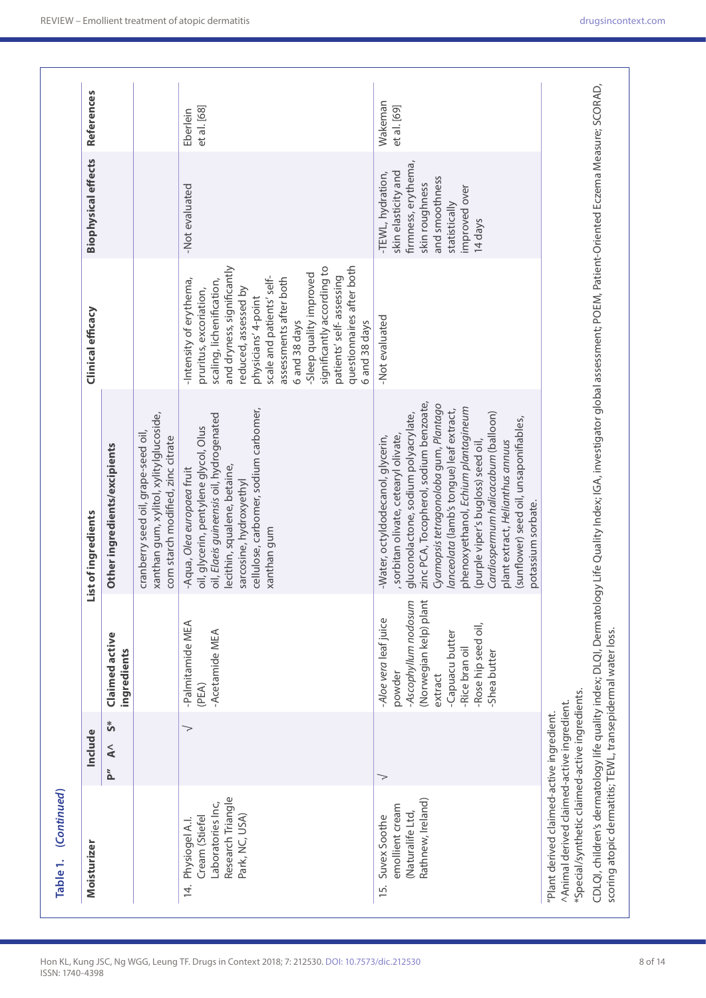| Moisturizer                                                                                                                               | Include            |                                                                                                                                                                          | List of ingredients                                                                                                                                                                                                                                                                                                                                                                                                                                                   | Clinical efficacy                                                                                                                                                                                                                                                                                                                                                      | <b>Biophysical effects</b>                                                                                                                       | References              |
|-------------------------------------------------------------------------------------------------------------------------------------------|--------------------|--------------------------------------------------------------------------------------------------------------------------------------------------------------------------|-----------------------------------------------------------------------------------------------------------------------------------------------------------------------------------------------------------------------------------------------------------------------------------------------------------------------------------------------------------------------------------------------------------------------------------------------------------------------|------------------------------------------------------------------------------------------------------------------------------------------------------------------------------------------------------------------------------------------------------------------------------------------------------------------------------------------------------------------------|--------------------------------------------------------------------------------------------------------------------------------------------------|-------------------------|
|                                                                                                                                           | ້ທ<br>$\leq$<br>ì, | Claimed active<br>ingredients                                                                                                                                            | Other ingredients/excipients                                                                                                                                                                                                                                                                                                                                                                                                                                          |                                                                                                                                                                                                                                                                                                                                                                        |                                                                                                                                                  |                         |
|                                                                                                                                           |                    |                                                                                                                                                                          | xanthan gum, xylitol, xylitylglucoside,<br>cranberry seed oil, grape-seed oil,<br>corn starch modified, zinc citrate                                                                                                                                                                                                                                                                                                                                                  |                                                                                                                                                                                                                                                                                                                                                                        |                                                                                                                                                  |                         |
| Research Triangle<br>Laboratories Inc,<br>Park, NC, USA)<br>Cream (Stiefel<br>Physiogel A.I.<br>$\overline{4}$                            | $\gt$              | -Palmitamide MEA<br>-Acetamide MEA<br>(PEA)                                                                                                                              | cellulose, carbomer, sodium carbomer,<br>oil, Elaeis guineensis oil, hydrogenated<br>oil, glycerin, pentylene glycol, Olus<br>lecithin, squalene, betaine,<br>Aqua, Olea europaea fruit<br>sarcosine, hydroxyethyl<br>xanthan gum                                                                                                                                                                                                                                     | questionnaires after both<br>and dryness, significantly<br>significantly according to<br>-Sleep quality improved<br>scale and patients' self-<br>patients' self-assessing<br>assessments after both<br>-Intensity of erythema,<br>scaling, lichenification,<br>reduced, assessed by<br>pruritus, excoriation,<br>physicians' 4-point<br>6 and 38 days<br>6 and 38 days | -Not evaluated                                                                                                                                   | et al. [68]<br>Eberlein |
| Rathnew, Ireland)<br>emollient cream<br>(Naturalife Ltd,<br>Suvex Soothe<br>15.                                                           | $\gt$              | -Ascophyllum nodosum<br>(Norwegian kelp) plant<br>-Aloe vera leaf juice<br>-Rose hip seed oil,<br>-Capuacu butter<br>-Rice bran oil<br>-Shea butter<br>powder<br>extract | zinc PCA, Tocopherol, sodium benzoate,<br>Cyamopsis tetragonoloba gum, Plantago<br>ohenoxyethanol, Echium plantagineum<br>lanceolata (lamb's tongue) leaf extract,<br>Cardiospermum halicacabum (balloon)<br>gluconolactone, sodium polyacrylate,<br>(sunflower) seed oil, unsaponifiables,<br>sorbitan olivate, cetearyl olivate,<br>Water, octyldodecanol, glycerin,<br>plant extract, Helianthus annuus<br>(purple viper's bugloss) seed oil<br>potassium sorbate. | -Not evaluated                                                                                                                                                                                                                                                                                                                                                         | firmness, erythema,<br>skin elasticity and<br>-TEWL, hydration,<br>and smoothness<br>skin roughness<br>improved over<br>statistically<br>14 days | Wakeman<br>et al. [69]  |
| *Special/synthetic claimed-active ingredients.<br>^Animal derived claimed-active ingredient.<br>"Plant derived claimed-active ingredient. |                    |                                                                                                                                                                          |                                                                                                                                                                                                                                                                                                                                                                                                                                                                       |                                                                                                                                                                                                                                                                                                                                                                        |                                                                                                                                                  |                         |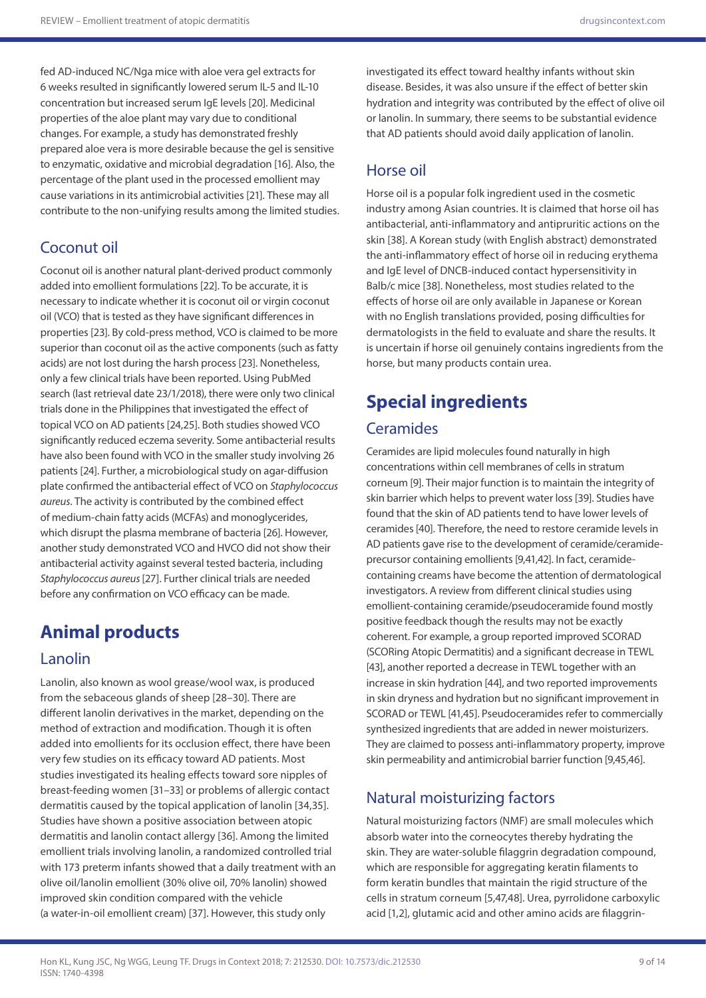fed AD-induced NC/Nga mice with aloe vera gel extracts for 6 weeks resulted in significantly lowered serum IL-5 and IL-10 concentration but increased serum IgE levels [20]. Medicinal properties of the aloe plant may vary due to conditional changes. For example, a study has demonstrated freshly prepared aloe vera is more desirable because the gel is sensitive to enzymatic, oxidative and microbial degradation [16]. Also, the percentage of the plant used in the processed emollient may cause variations in its antimicrobial activities [21]. These may all contribute to the non-unifying results among the limited studies.

## Coconut oil

Coconut oil is another natural plant-derived product commonly added into emollient formulations [22]. To be accurate, it is necessary to indicate whether it is coconut oil or virgin coconut oil (VCO) that is tested as they have significant differences in properties [23]. By cold-press method, VCO is claimed to be more superior than coconut oil as the active components (such as fatty acids) are not lost during the harsh process [23]. Nonetheless, only a few clinical trials have been reported. Using PubMed search (last retrieval date 23/1/2018), there were only two clinical trials done in the Philippines that investigated the effect of topical VCO on AD patients [24,25]. Both studies showed VCO significantly reduced eczema severity. Some antibacterial results have also been found with VCO in the smaller study involving 26 patients [24]. Further, a microbiological study on agar-diffusion plate confirmed the antibacterial effect of VCO on *Staphylococcus aureus*. The activity is contributed by the combined effect of medium-chain fatty acids (MCFAs) and monoglycerides, which disrupt the plasma membrane of bacteria [26]. However, another study demonstrated VCO and HVCO did not show their antibacterial activity against several tested bacteria, including *Staphylococcus aureus* [27]. Further clinical trials are needed before any confirmation on VCO efficacy can be made.

# **Animal products**

#### Lanolin

Lanolin, also known as wool grease/wool wax, is produced from the sebaceous glands of sheep [28–30]. There are different lanolin derivatives in the market, depending on the method of extraction and modification. Though it is often added into emollients for its occlusion effect, there have been very few studies on its efficacy toward AD patients. Most studies investigated its healing effects toward sore nipples of breast-feeding women [31–33] or problems of allergic contact dermatitis caused by the topical application of lanolin [34,35]. Studies have shown a positive association between atopic dermatitis and lanolin contact allergy [36]. Among the limited emollient trials involving lanolin, a randomized controlled trial with 173 preterm infants showed that a daily treatment with an olive oil/lanolin emollient (30% olive oil, 70% lanolin) showed improved skin condition compared with the vehicle (a water-in-oil emollient cream) [37]. However, this study only

investigated its effect toward healthy infants without skin disease. Besides, it was also unsure if the effect of better skin hydration and integrity was contributed by the effect of olive oil or lanolin. In summary, there seems to be substantial evidence that AD patients should avoid daily application of lanolin.

#### Horse oil

Horse oil is a popular folk ingredient used in the cosmetic industry among Asian countries. It is claimed that horse oil has antibacterial, anti-inflammatory and antipruritic actions on the skin [38]. A Korean study (with English abstract) demonstrated the anti-inflammatory effect of horse oil in reducing erythema and IgE level of DNCB-induced contact hypersensitivity in Balb/c mice [38]. Nonetheless, most studies related to the effects of horse oil are only available in Japanese or Korean with no English translations provided, posing difficulties for dermatologists in the field to evaluate and share the results. It is uncertain if horse oil genuinely contains ingredients from the horse, but many products contain urea.

# **Special ingredients**

#### **Ceramides**

Ceramides are lipid molecules found naturally in high concentrations within cell membranes of cells in stratum corneum [9]. Their major function is to maintain the integrity of skin barrier which helps to prevent water loss [39]. Studies have found that the skin of AD patients tend to have lower levels of ceramides [40]. Therefore, the need to restore ceramide levels in AD patients gave rise to the development of ceramide/ceramideprecursor containing emollients [9,41,42]. In fact, ceramidecontaining creams have become the attention of dermatological investigators. A review from different clinical studies using emollient-containing ceramide/pseudoceramide found mostly positive feedback though the results may not be exactly coherent. For example, a group reported improved SCORAD (SCORing Atopic Dermatitis) and a significant decrease in TEWL [43], another reported a decrease in TEWL together with an increase in skin hydration [44], and two reported improvements in skin dryness and hydration but no significant improvement in SCORAD or TEWL [41,45]. Pseudoceramides refer to commercially synthesized ingredients that are added in newer moisturizers. They are claimed to possess anti-inflammatory property, improve skin permeability and antimicrobial barrier function [9,45,46].

#### Natural moisturizing factors

Natural moisturizing factors (NMF) are small molecules which absorb water into the corneocytes thereby hydrating the skin. They are water-soluble filaggrin degradation compound, which are responsible for aggregating keratin filaments to form keratin bundles that maintain the rigid structure of the cells in stratum corneum [5,47,48]. Urea, pyrrolidone carboxylic acid [1,2], glutamic acid and other amino acids are filaggrin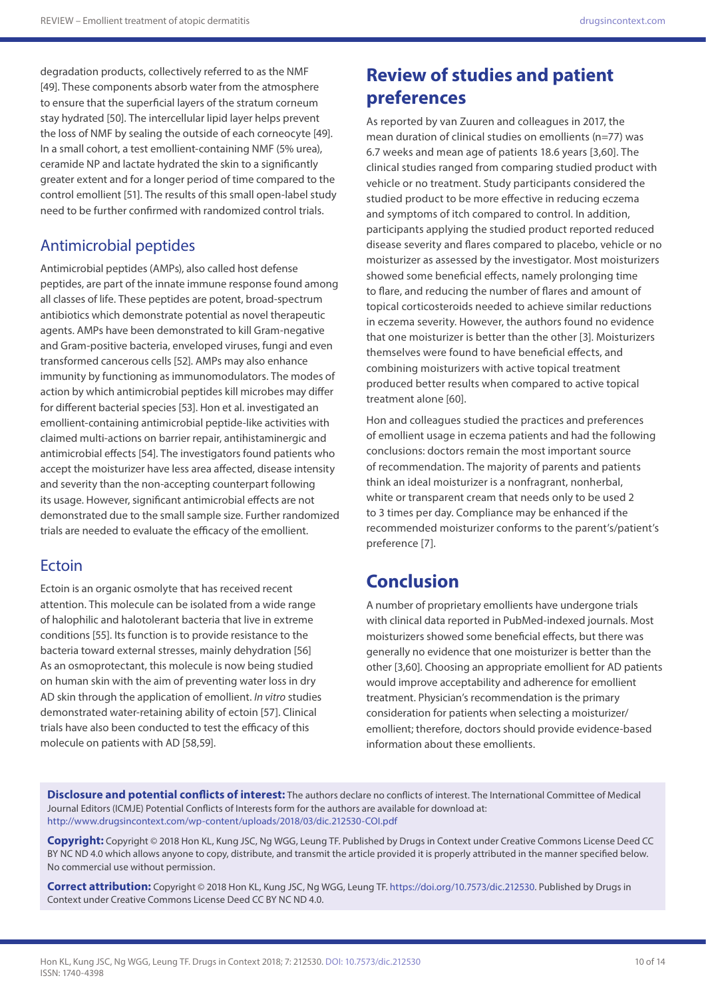degradation products, collectively referred to as the NMF [49]. These components absorb water from the atmosphere to ensure that the superficial layers of the stratum corneum stay hydrated [50]. The intercellular lipid layer helps prevent the loss of NMF by sealing the outside of each corneocyte [49]. In a small cohort, a test emollient-containing NMF (5% urea), ceramide NP and lactate hydrated the skin to a significantly greater extent and for a longer period of time compared to the control emollient [51]. The results of this small open-label study need to be further confirmed with randomized control trials.

#### Antimicrobial peptides

Antimicrobial peptides (AMPs), also called host defense peptides, are part of the innate immune response found among all classes of life. These peptides are potent, broad-spectrum antibiotics which demonstrate potential as novel therapeutic agents. AMPs have been demonstrated to kill Gram-negative and Gram-positive bacteria, enveloped viruses, fungi and even transformed cancerous cells [52]. AMPs may also enhance immunity by functioning as immunomodulators. The modes of action by which antimicrobial peptides kill microbes may differ for different bacterial species [53]. Hon et al. investigated an emollient-containing antimicrobial peptide-like activities with claimed multi-actions on barrier repair, antihistaminergic and antimicrobial effects [54]. The investigators found patients who accept the moisturizer have less area affected, disease intensity and severity than the non-accepting counterpart following its usage. However, significant antimicrobial effects are not demonstrated due to the small sample size. Further randomized trials are needed to evaluate the efficacy of the emollient.

#### Ectoin

Ectoin is an organic osmolyte that has received recent attention. This molecule can be isolated from a wide range of halophilic and halotolerant bacteria that live in extreme conditions [55]. Its function is to provide resistance to the bacteria toward external stresses, mainly dehydration [56] As an osmoprotectant, this molecule is now being studied on human skin with the aim of preventing water loss in dry AD skin through the application of emollient. *In vitro* studies demonstrated water-retaining ability of ectoin [57]. Clinical trials have also been conducted to test the efficacy of this molecule on patients with AD [58,59].

# **Review of studies and patient preferences**

As reported by van Zuuren and colleagues in 2017, the mean duration of clinical studies on emollients (n=77) was 6.7 weeks and mean age of patients 18.6 years [3,60]. The clinical studies ranged from comparing studied product with vehicle or no treatment. Study participants considered the studied product to be more effective in reducing eczema and symptoms of itch compared to control. In addition, participants applying the studied product reported reduced disease severity and flares compared to placebo, vehicle or no moisturizer as assessed by the investigator. Most moisturizers showed some beneficial effects, namely prolonging time to flare, and reducing the number of flares and amount of topical corticosteroids needed to achieve similar reductions in eczema severity. However, the authors found no evidence that one moisturizer is better than the other [3]. Moisturizers themselves were found to have beneficial effects, and combining moisturizers with active topical treatment produced better results when compared to active topical treatment alone [60].

Hon and colleagues studied the practices and preferences of emollient usage in eczema patients and had the following conclusions: doctors remain the most important source of recommendation. The majority of parents and patients think an ideal moisturizer is a nonfragrant, nonherbal, white or transparent cream that needs only to be used 2 to 3 times per day. Compliance may be enhanced if the recommended moisturizer conforms to the parent's/patient's preference [7].

# **Conclusion**

A number of proprietary emollients have undergone trials with clinical data reported in PubMed-indexed journals. Most moisturizers showed some beneficial effects, but there was generally no evidence that one moisturizer is better than the other [3,60]. Choosing an appropriate emollient for AD patients would improve acceptability and adherence for emollient treatment. Physician's recommendation is the primary consideration for patients when selecting a moisturizer/ emollient; therefore, doctors should provide evidence-based information about these emollients.

**Disclosure and potential conflicts of interest:** The authors declare no conflicts of interest. The International Committee of Medical Journal Editors (ICMJE) Potential Conflicts of Interests form for the authors are available for download at: <http://www.drugsincontext.com/wp-content/uploads/2018/03/dic.212530-COI.pdf>

**Copyright:** Copyright © 2018 Hon KL, Kung JSC, Ng WGG, Leung TF. Published by Drugs in Context under Creative Commons License Deed CC BY NC ND 4.0 which allows anyone to copy, distribute, and transmit the article provided it is properly attributed in the manner specified below. No commercial use without permission.

**Correct attribution:** Copyright © 2018 Hon KL, Kung JSC, Ng WGG, Leung TF. [https://doi.org/10.7573/dic.212530.](https://doi.org/10.7573/dic.212530) Published by Drugs in Context under Creative Commons License Deed CC BY NC ND 4.0.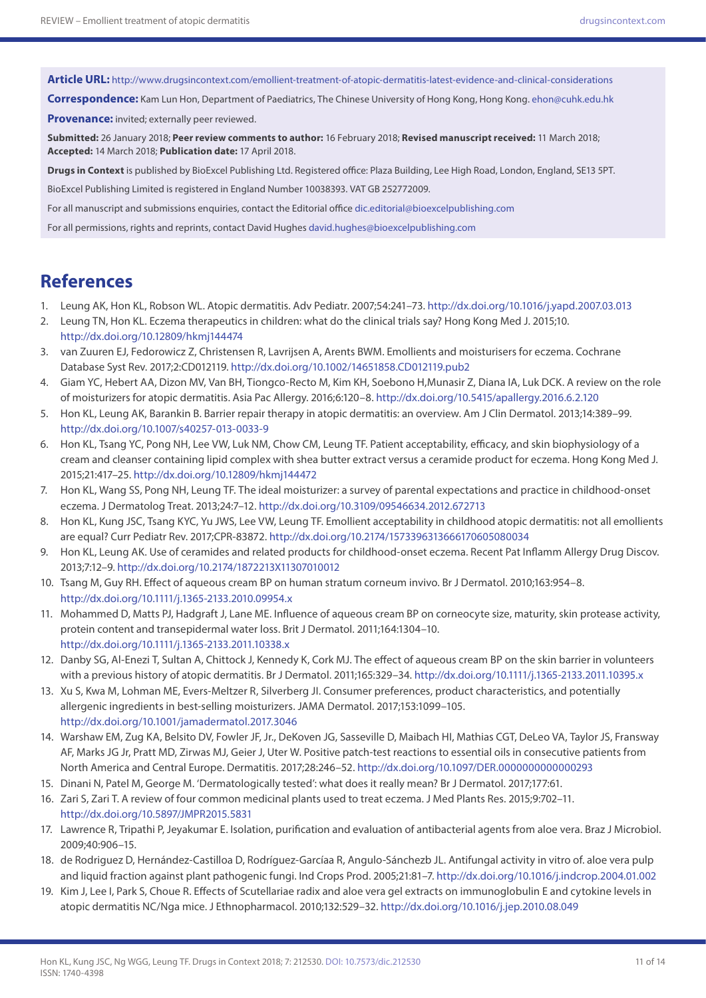**Article URL:** <http://www.drugsincontext.com/emollient-treatment-of-atopic-dermatitis-latest-evidence-and-clinical-considerations>

**Correspondence:** Kam Lun Hon, Department of Paediatrics, The Chinese University of Hong Kong, Hong Kong. [ehon@cuhk.edu.hk](mailto:ehon@cuhk.edu.hk)

**Provenance:** invited; externally peer reviewed.

**Submitted:** 26 January 2018; **Peer review comments to author:** 16 February 2018; **Revised manuscript received:** 11 March 2018; **Accepted:** 14 March 2018; **Publication date:** 17 April 2018.

**Drugs in Context** is published by BioExcel Publishing Ltd. Registered office: Plaza Building, Lee High Road, London, England, SE13 5PT.

BioExcel Publishing Limited is registered in England Number 10038393. VAT GB 252772009.

For all manuscript and submissions enquiries, contact the Editorial office [dic.editorial@bioexcelpublishing.com](mailto:dic.editorial@bioexcelpublishing.com)

For all permissions, rights and reprints, contact David Hughes [david.hughes@bioexcelpublishing.com](mailto:david.hughes@bioexcelpublishing.com)

## **References**

- 1. Leung AK, Hon KL, Robson WL. Atopic dermatitis. Adv Pediatr. 2007;54:241–73. <http://dx.doi.org/10.1016/j.yapd.2007.03.013>
- 2. Leung TN, Hon KL. Eczema therapeutics in children: what do the clinical trials say? Hong Kong Med J. 2015;10. <http://dx.doi.org/10.12809/hkmj144474>
- 3. van Zuuren EJ, Fedorowicz Z, Christensen R, Lavrijsen A, Arents BWM. Emollients and moisturisers for eczema. Cochrane Database Syst Rev. 2017;2:CD012119. <http://dx.doi.org/10.1002/14651858.CD012119.pub2>
- 4. Giam YC, Hebert AA, Dizon MV, Van BH, Tiongco-Recto M, Kim KH, Soebono H,Munasir Z, Diana IA, Luk DCK. A review on the role of moisturizers for atopic dermatitis. Asia Pac Allergy. 2016;6:120–8.<http://dx.doi.org/10.5415/apallergy.2016.6.2.120>
- 5. Hon KL, Leung AK, Barankin B. Barrier repair therapy in atopic dermatitis: an overview. Am J Clin Dermatol. 2013;14:389–99. <http://dx.doi.org/10.1007/s40257-013-0033-9>
- 6. Hon KL, Tsang YC, Pong NH, Lee VW, Luk NM, Chow CM, Leung TF. Patient acceptability, efficacy, and skin biophysiology of a cream and cleanser containing lipid complex with shea butter extract versus a ceramide product for eczema. Hong Kong Med J. 2015;21:417–25. <http://dx.doi.org/10.12809/hkmj144472>
- 7. Hon KL, Wang SS, Pong NH, Leung TF. The ideal moisturizer: a survey of parental expectations and practice in childhood-onset eczema. J Dermatolog Treat. 2013;24:7–12.<http://dx.doi.org/10.3109/09546634.2012.672713>
- 8. Hon KL, Kung JSC, Tsang KYC, Yu JWS, Lee VW, Leung TF. Emollient acceptability in childhood atopic dermatitis: not all emollients are equal? Curr Pediatr Rev. 2017;CPR-83872.<http://dx.doi.org/10.2174/1573396313666170605080034>
- 9. Hon KL, Leung AK. Use of ceramides and related products for childhood-onset eczema. Recent Pat Inflamm Allergy Drug Discov. 2013;7:12–9.<http://dx.doi.org/10.2174/1872213X11307010012>
- 10. Tsang M, Guy RH. Effect of aqueous cream BP on human stratum corneum invivo. Br J Dermatol. 2010;163:954–8. <http://dx.doi.org/10.1111/j.1365-2133.2010.09954.x>
- 11. Mohammed D, Matts PJ, Hadgraft J, Lane ME. Influence of aqueous cream BP on corneocyte size, maturity, skin protease activity, protein content and transepidermal water loss. Brit J Dermatol. 2011;164:1304–10. <http://dx.doi.org/10.1111/j.1365-2133.2011.10338.x>
- 12. Danby SG, Al-Enezi T, Sultan A, Chittock J, Kennedy K, Cork MJ. The effect of aqueous cream BP on the skin barrier in volunteers with a previous history of atopic dermatitis. Br J Dermatol. 2011;165:329–34. <http://dx.doi.org/10.1111/j.1365-2133.2011.10395.x>
- 13. Xu S, Kwa M, Lohman ME, Evers-Meltzer R, Silverberg JI. Consumer preferences, product characteristics, and potentially allergenic ingredients in best-selling moisturizers. JAMA Dermatol. 2017;153:1099–105. <http://dx.doi.org/10.1001/jamadermatol.2017.3046>
- 14. Warshaw EM, Zug KA, Belsito DV, Fowler JF, Jr., DeKoven JG, Sasseville D, Maibach HI, Mathias CGT, DeLeo VA, Taylor JS, Fransway AF, Marks JG Jr, Pratt MD, Zirwas MJ, Geier J, Uter W. Positive patch-test reactions to essential oils in consecutive patients from North America and Central Europe. Dermatitis. 2017;28:246–52.<http://dx.doi.org/10.1097/DER.0000000000000293>
- 15. Dinani N, Patel M, George M. 'Dermatologically tested': what does it really mean? Br J Dermatol. 2017;177:61.
- 16. Zari S, Zari T. A review of four common medicinal plants used to treat eczema. J Med Plants Res. 2015;9:702–11. <http://dx.doi.org/10.5897/JMPR2015.5831>
- 17. Lawrence R, Tripathi P, Jeyakumar E. Isolation, purification and evaluation of antibacterial agents from aloe vera. Braz J Microbiol. 2009;40:906–15.
- 18. de Rodriguez D, Hernández-Castilloa D, Rodríguez-Garcíaa R, Angulo-Sánchezb JL. Antifungal activity in vitro of. aloe vera pulp and liquid fraction against plant pathogenic fungi. Ind Crops Prod. 2005;21:81–7.<http://dx.doi.org/10.1016/j.indcrop.2004.01.002>
- 19. Kim J, Lee I, Park S, Choue R. Effects of Scutellariae radix and aloe vera gel extracts on immunoglobulin E and cytokine levels in atopic dermatitis NC/Nga mice. J Ethnopharmacol. 2010;132:529–32.<http://dx.doi.org/10.1016/j.jep.2010.08.049>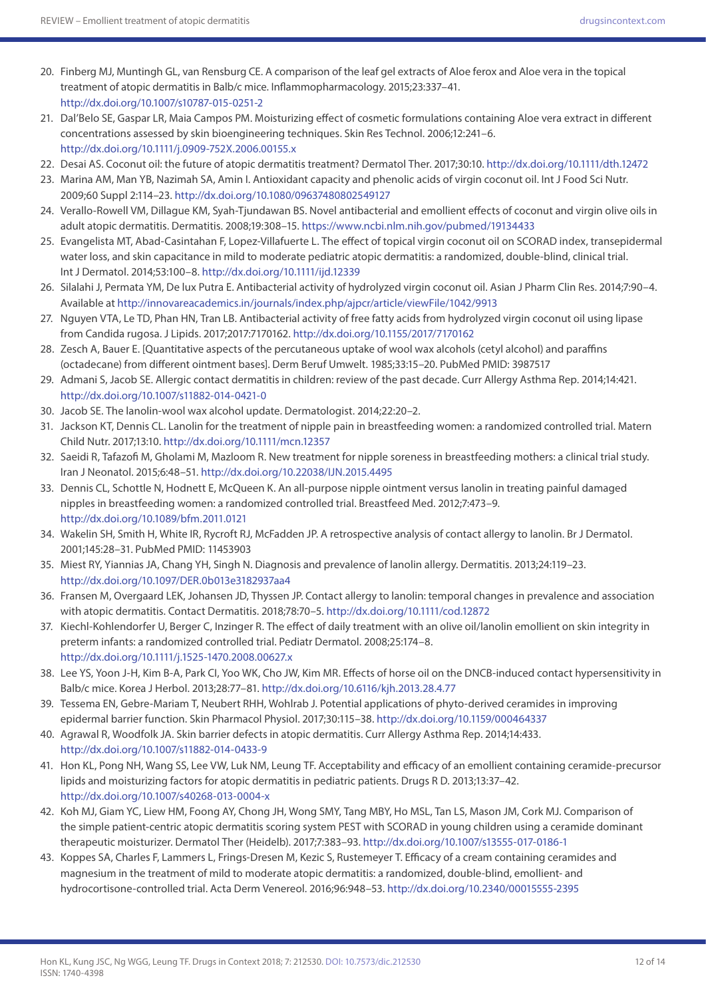- 20. Finberg MJ, Muntingh GL, van Rensburg CE. A comparison of the leaf gel extracts of Aloe ferox and Aloe vera in the topical treatment of atopic dermatitis in Balb/c mice. Inflammopharmacology. 2015;23:337–41. <http://dx.doi.org/10.1007/s10787-015-0251-2>
- 21. Dal'Belo SE, Gaspar LR, Maia Campos PM. Moisturizing effect of cosmetic formulations containing Aloe vera extract in different concentrations assessed by skin bioengineering techniques. Skin Res Technol. 2006;12:241–6. <http://dx.doi.org/10.1111/j.0909-752X.2006.00155.x>
- 22. Desai AS. Coconut oil: the future of atopic dermatitis treatment? Dermatol Ther. 2017;30:10.<http://dx.doi.org/10.1111/dth.12472>
- 23. Marina AM, Man YB, Nazimah SA, Amin I. Antioxidant capacity and phenolic acids of virgin coconut oil. Int J Food Sci Nutr. 2009;60 Suppl 2:114–23.<http://dx.doi.org/10.1080/09637480802549127>
- 24. Verallo-Rowell VM, Dillague KM, Syah-Tjundawan BS. Novel antibacterial and emollient effects of coconut and virgin olive oils in adult atopic dermatitis. Dermatitis. 2008;19:308–15. <https://www.ncbi.nlm.nih.gov/pubmed/19134433>
- 25. Evangelista MT, Abad-Casintahan F, Lopez-Villafuerte L. The effect of topical virgin coconut oil on SCORAD index, transepidermal water loss, and skin capacitance in mild to moderate pediatric atopic dermatitis: a randomized, double-blind, clinical trial. Int J Dermatol. 2014;53:100–8.<http://dx.doi.org/10.1111/ijd.12339>
- 26. Silalahi J, Permata YM, De lux Putra E. Antibacterial activity of hydrolyzed virgin coconut oil. Asian J Pharm Clin Res. 2014;7:90–4. Available at<http://innovareacademics.in/journals/index.php/ajpcr/article/viewFile/1042/9913>
- 27. Nguyen VTA, Le TD, Phan HN, Tran LB. Antibacterial activity of free fatty acids from hydrolyzed virgin coconut oil using lipase from Candida rugosa. J Lipids. 2017;2017:7170162.<http://dx.doi.org/10.1155/2017/7170162>
- 28. Zesch A, Bauer E. [Quantitative aspects of the percutaneous uptake of wool wax alcohols (cetyl alcohol) and paraffins (octadecane) from different ointment bases]. Derm Beruf Umwelt. 1985;33:15–20. PubMed PMID: 3987517
- 29. Admani S, Jacob SE. Allergic contact dermatitis in children: review of the past decade. Curr Allergy Asthma Rep. 2014;14:421. <http://dx.doi.org/10.1007/s11882-014-0421-0>
- 30. Jacob SE. The lanolin-wool wax alcohol update. Dermatologist. 2014;22:20–2.
- 31. Jackson KT, Dennis CL. Lanolin for the treatment of nipple pain in breastfeeding women: a randomized controlled trial. Matern Child Nutr. 2017;13:10. <http://dx.doi.org/10.1111/mcn.12357>
- 32. Saeidi R, Tafazofi M, Gholami M, Mazloom R. New treatment for nipple soreness in breastfeeding mothers: a clinical trial study. Iran J Neonatol. 2015;6:48–51. <http://dx.doi.org/10.22038/IJN.2015.4495>
- 33. Dennis CL, Schottle N, Hodnett E, McQueen K. An all-purpose nipple ointment versus lanolin in treating painful damaged nipples in breastfeeding women: a randomized controlled trial. Breastfeed Med. 2012;7:473–9. <http://dx.doi.org/10.1089/bfm.2011.0121>
- 34. Wakelin SH, Smith H, White IR, Rycroft RJ, McFadden JP. A retrospective analysis of contact allergy to lanolin. Br J Dermatol. 2001;145:28–31. PubMed PMID: 11453903
- 35. Miest RY, Yiannias JA, Chang YH, Singh N. Diagnosis and prevalence of lanolin allergy. Dermatitis. 2013;24:119–23. <http://dx.doi.org/10.1097/DER.0b013e3182937aa4>
- 36. Fransen M, Overgaard LEK, Johansen JD, Thyssen JP. Contact allergy to lanolin: temporal changes in prevalence and association with atopic dermatitis. Contact Dermatitis. 2018;78:70–5.<http://dx.doi.org/10.1111/cod.12872>
- 37. Kiechl-Kohlendorfer U, Berger C, Inzinger R. The effect of daily treatment with an olive oil/lanolin emollient on skin integrity in preterm infants: a randomized controlled trial. Pediatr Dermatol. 2008;25:174–8. <http://dx.doi.org/10.1111/j.1525-1470.2008.00627.x>
- 38. Lee YS, Yoon J-H, Kim B-A, Park CI, Yoo WK, Cho JW, Kim MR. Effects of horse oil on the DNCB-induced contact hypersensitivity in Balb/c mice. Korea J Herbol. 2013;28:77–81. <http://dx.doi.org/10.6116/kjh.2013.28.4.77>
- 39. Tessema EN, Gebre-Mariam T, Neubert RHH, Wohlrab J. Potential applications of phyto-derived ceramides in improving epidermal barrier function. Skin Pharmacol Physiol. 2017;30:115–38. <http://dx.doi.org/10.1159/000464337>
- 40. Agrawal R, Woodfolk JA. Skin barrier defects in atopic dermatitis. Curr Allergy Asthma Rep. 2014;14:433. <http://dx.doi.org/10.1007/s11882-014-0433-9>
- 41. Hon KL, Pong NH, Wang SS, Lee VW, Luk NM, Leung TF. Acceptability and efficacy of an emollient containing ceramide-precursor lipids and moisturizing factors for atopic dermatitis in pediatric patients. Drugs R D. 2013;13:37–42. <http://dx.doi.org/10.1007/s40268-013-0004-x>
- 42. Koh MJ, Giam YC, Liew HM, Foong AY, Chong JH, Wong SMY, Tang MBY, Ho MSL, Tan LS, Mason JM, Cork MJ. Comparison of the simple patient-centric atopic dermatitis scoring system PEST with SCORAD in young children using a ceramide dominant therapeutic moisturizer. Dermatol Ther (Heidelb). 2017;7:383–93.<http://dx.doi.org/10.1007/s13555-017-0186-1>
- 43. Koppes SA, Charles F, Lammers L, Frings-Dresen M, Kezic S, Rustemeyer T. Efficacy of a cream containing ceramides and magnesium in the treatment of mild to moderate atopic dermatitis: a randomized, double-blind, emollient- and hydrocortisone-controlled trial. Acta Derm Venereol. 2016;96:948–53. <http://dx.doi.org/10.2340/00015555-2395>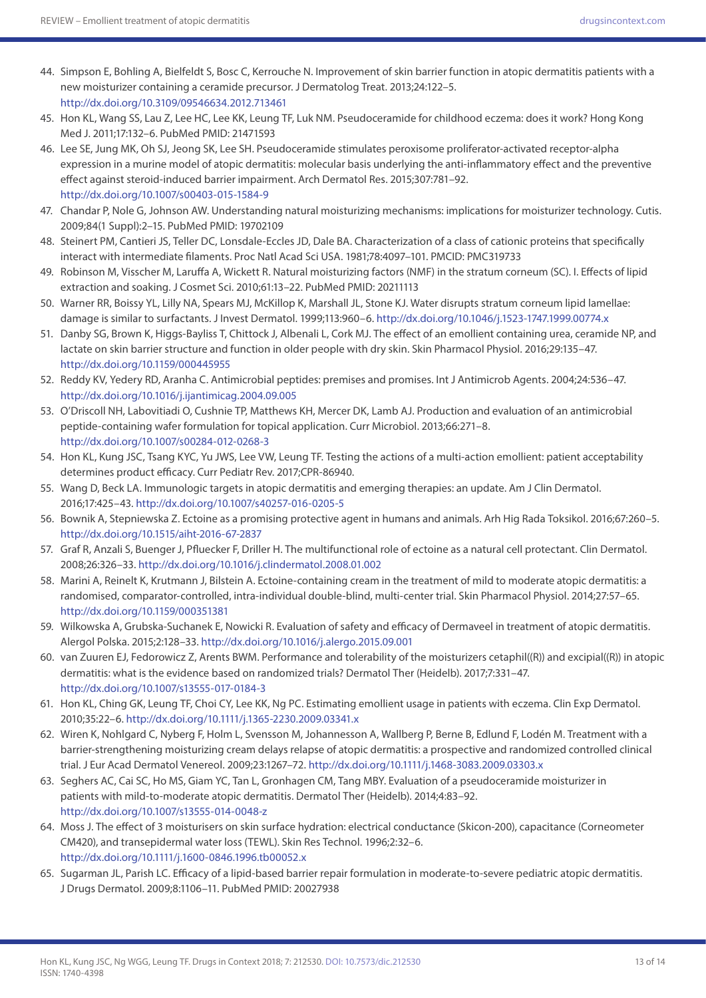- 44. Simpson E, Bohling A, Bielfeldt S, Bosc C, Kerrouche N. Improvement of skin barrier function in atopic dermatitis patients with a new moisturizer containing a ceramide precursor. J Dermatolog Treat. 2013;24:122–5. <http://dx.doi.org/10.3109/09546634.2012.713461>
- 45. Hon KL, Wang SS, Lau Z, Lee HC, Lee KK, Leung TF, Luk NM. Pseudoceramide for childhood eczema: does it work? Hong Kong Med J. 2011;17:132–6. PubMed PMID: 21471593
- 46. Lee SE, Jung MK, Oh SJ, Jeong SK, Lee SH. Pseudoceramide stimulates peroxisome proliferator-activated receptor-alpha expression in a murine model of atopic dermatitis: molecular basis underlying the anti-inflammatory effect and the preventive effect against steroid-induced barrier impairment. Arch Dermatol Res. 2015;307:781–92. <http://dx.doi.org/10.1007/s00403-015-1584-9>
- 47. Chandar P, Nole G, Johnson AW. Understanding natural moisturizing mechanisms: implications for moisturizer technology. Cutis. 2009;84(1 Suppl):2–15. PubMed PMID: 19702109
- 48. Steinert PM, Cantieri JS, Teller DC, Lonsdale-Eccles JD, Dale BA. Characterization of a class of cationic proteins that specifically interact with intermediate filaments. Proc Natl Acad Sci USA. 1981;78:4097–101. PMCID: PMC319733
- 49. Robinson M, Visscher M, Laruffa A, Wickett R. Natural moisturizing factors (NMF) in the stratum corneum (SC). I. Effects of lipid extraction and soaking. J Cosmet Sci. 2010;61:13–22. PubMed PMID: 20211113
- 50. Warner RR, Boissy YL, Lilly NA, Spears MJ, McKillop K, Marshall JL, Stone KJ. Water disrupts stratum corneum lipid lamellae: damage is similar to surfactants. J Invest Dermatol. 1999;113:960–6. <http://dx.doi.org/10.1046/j.1523-1747.1999.00774.x>
- 51. Danby SG, Brown K, Higgs-Bayliss T, Chittock J, Albenali L, Cork MJ. The effect of an emollient containing urea, ceramide NP, and lactate on skin barrier structure and function in older people with dry skin. Skin Pharmacol Physiol. 2016;29:135–47. <http://dx.doi.org/10.1159/000445955>
- 52. Reddy KV, Yedery RD, Aranha C. Antimicrobial peptides: premises and promises. Int J Antimicrob Agents. 2004;24:536–47. <http://dx.doi.org/10.1016/j.ijantimicag.2004.09.005>
- 53. O'Driscoll NH, Labovitiadi O, Cushnie TP, Matthews KH, Mercer DK, Lamb AJ. Production and evaluation of an antimicrobial peptide-containing wafer formulation for topical application. Curr Microbiol. 2013;66:271–8. <http://dx.doi.org/10.1007/s00284-012-0268-3>
- 54. Hon KL, Kung JSC, Tsang KYC, Yu JWS, Lee VW, Leung TF. Testing the actions of a multi-action emollient: patient acceptability determines product efficacy. Curr Pediatr Rev. 2017;CPR-86940.
- 55. Wang D, Beck LA. Immunologic targets in atopic dermatitis and emerging therapies: an update. Am J Clin Dermatol. 2016;17:425–43. <http://dx.doi.org/10.1007/s40257-016-0205-5>
- 56. Bownik A, Stepniewska Z. Ectoine as a promising protective agent in humans and animals. Arh Hig Rada Toksikol. 2016;67:260–5. <http://dx.doi.org/10.1515/aiht-2016-67-2837>
- 57. Graf R, Anzali S, Buenger J, Pfluecker F, Driller H. The multifunctional role of ectoine as a natural cell protectant. Clin Dermatol. 2008;26:326–33. <http://dx.doi.org/10.1016/j.clindermatol.2008.01.002>
- 58. Marini A, Reinelt K, Krutmann J, Bilstein A. Ectoine-containing cream in the treatment of mild to moderate atopic dermatitis: a randomised, comparator-controlled, intra-individual double-blind, multi-center trial. Skin Pharmacol Physiol. 2014;27:57–65. <http://dx.doi.org/10.1159/000351381>
- 59. Wilkowska A, Grubska-Suchanek E, Nowicki R. Evaluation of safety and efficacy of Dermaveel in treatment of atopic dermatitis. Alergol Polska. 2015;2:128–33. <http://dx.doi.org/10.1016/j.alergo.2015.09.001>
- 60. van Zuuren EJ, Fedorowicz Z, Arents BWM. Performance and tolerability of the moisturizers cetaphil((R)) and excipial((R)) in atopic dermatitis: what is the evidence based on randomized trials? Dermatol Ther (Heidelb). 2017;7:331–47. <http://dx.doi.org/10.1007/s13555-017-0184-3>
- 61. Hon KL, Ching GK, Leung TF, Choi CY, Lee KK, Ng PC. Estimating emollient usage in patients with eczema. Clin Exp Dermatol. 2010;35:22–6.<http://dx.doi.org/10.1111/j.1365-2230.2009.03341.x>
- 62. Wiren K, Nohlgard C, Nyberg F, Holm L, Svensson M, Johannesson A, Wallberg P, Berne B, Edlund F, Lodén M. Treatment with a barrier-strengthening moisturizing cream delays relapse of atopic dermatitis: a prospective and randomized controlled clinical trial. J Eur Acad Dermatol Venereol. 2009;23:1267–72.<http://dx.doi.org/10.1111/j.1468-3083.2009.03303.x>
- 63. Seghers AC, Cai SC, Ho MS, Giam YC, Tan L, Gronhagen CM, Tang MBY. Evaluation of a pseudoceramide moisturizer in patients with mild-to-moderate atopic dermatitis. Dermatol Ther (Heidelb). 2014;4:83–92. <http://dx.doi.org/10.1007/s13555-014-0048-z>
- 64. Moss J. The effect of 3 moisturisers on skin surface hydration: electrical conductance (Skicon-200), capacitance (Corneometer CM420), and transepidermal water loss (TEWL). Skin Res Technol. 1996;2:32–6. <http://dx.doi.org/10.1111/j.1600-0846.1996.tb00052.x>
- 65. Sugarman JL, Parish LC. Efficacy of a lipid-based barrier repair formulation in moderate-to-severe pediatric atopic dermatitis. J Drugs Dermatol. 2009;8:1106–11. PubMed PMID: 20027938